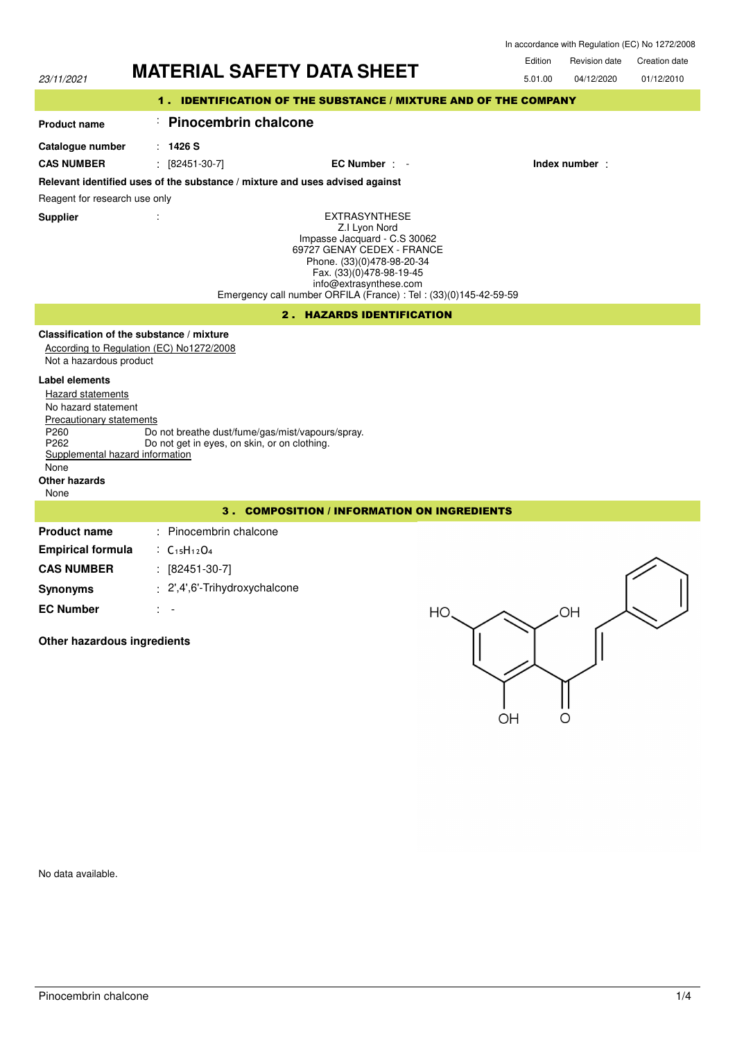|                                                                                                                                                                                                                                 | <b>MATERIAL SAFETY DATA SHEET</b>                                                                                                                                                                                                                            | Edition | Revision date | <b>Creation date</b> |  |  |
|---------------------------------------------------------------------------------------------------------------------------------------------------------------------------------------------------------------------------------|--------------------------------------------------------------------------------------------------------------------------------------------------------------------------------------------------------------------------------------------------------------|---------|---------------|----------------------|--|--|
| 23/11/2021                                                                                                                                                                                                                      |                                                                                                                                                                                                                                                              | 5.01.00 | 04/12/2020    | 01/12/2010           |  |  |
|                                                                                                                                                                                                                                 | 1. IDENTIFICATION OF THE SUBSTANCE / MIXTURE AND OF THE COMPANY                                                                                                                                                                                              |         |               |                      |  |  |
| <b>Product name</b>                                                                                                                                                                                                             | <b>Pinocembrin chalcone</b>                                                                                                                                                                                                                                  |         |               |                      |  |  |
| Catalogue number                                                                                                                                                                                                                | : 1426S                                                                                                                                                                                                                                                      |         |               |                      |  |  |
| <b>CAS NUMBER</b>                                                                                                                                                                                                               | [82451-30-7]<br>÷<br>EC Number : -                                                                                                                                                                                                                           |         | Index number: |                      |  |  |
| Relevant identified uses of the substance / mixture and uses advised against                                                                                                                                                    |                                                                                                                                                                                                                                                              |         |               |                      |  |  |
| Reagent for research use only                                                                                                                                                                                                   |                                                                                                                                                                                                                                                              |         |               |                      |  |  |
| <b>Supplier</b>                                                                                                                                                                                                                 | <b>EXTRASYNTHESE</b><br>Z.I Lyon Nord<br>Impasse Jacquard - C.S 30062<br>69727 GENAY CEDEX - FRANCE<br>Phone. (33)(0)478-98-20-34<br>Fax. (33)(0)478-98-19-45<br>info@extrasynthese.com<br>Emergency call number ORFILA (France) : Tel : (33)(0)145-42-59-59 |         |               |                      |  |  |
|                                                                                                                                                                                                                                 | 2. HAZARDS IDENTIFICATION                                                                                                                                                                                                                                    |         |               |                      |  |  |
| Not a hazardous product<br>Label elements<br><b>Hazard statements</b><br>No hazard statement<br>Precautionary statements<br>P260<br>P <sub>262</sub><br>Supplemental hazard information<br>None<br><b>Other hazards</b><br>None | Classification of the substance / mixture<br>According to Regulation (EC) No1272/2008<br>Do not breathe dust/fume/gas/mist/vapours/spray.<br>Do not get in eyes, on skin, or on clothing.                                                                    |         |               |                      |  |  |
| $3 -$<br><b>COMPOSITION / INFORMATION ON INGREDIENTS</b>                                                                                                                                                                        |                                                                                                                                                                                                                                                              |         |               |                      |  |  |
| <b>Product name</b>                                                                                                                                                                                                             | : Pinocembrin chalcone                                                                                                                                                                                                                                       |         |               |                      |  |  |
| <b>Empirical formula</b>                                                                                                                                                                                                        | : $C_{15}H_{12}O_4$                                                                                                                                                                                                                                          |         |               |                      |  |  |
| <b>CAS NUMBER</b>                                                                                                                                                                                                               | $: [82451-30-7]$                                                                                                                                                                                                                                             |         |               |                      |  |  |
| <b>Synonyms</b>                                                                                                                                                                                                                 | : 2',4',6'-Trihydroxychalcone                                                                                                                                                                                                                                |         |               |                      |  |  |
| <b>EC Number</b>                                                                                                                                                                                                                | HO                                                                                                                                                                                                                                                           |         | OH            |                      |  |  |
| Other hazardous ingredients                                                                                                                                                                                                     | OH                                                                                                                                                                                                                                                           |         | O             |                      |  |  |

No data available.

In accordance with Regulation (EC) No 1272/2008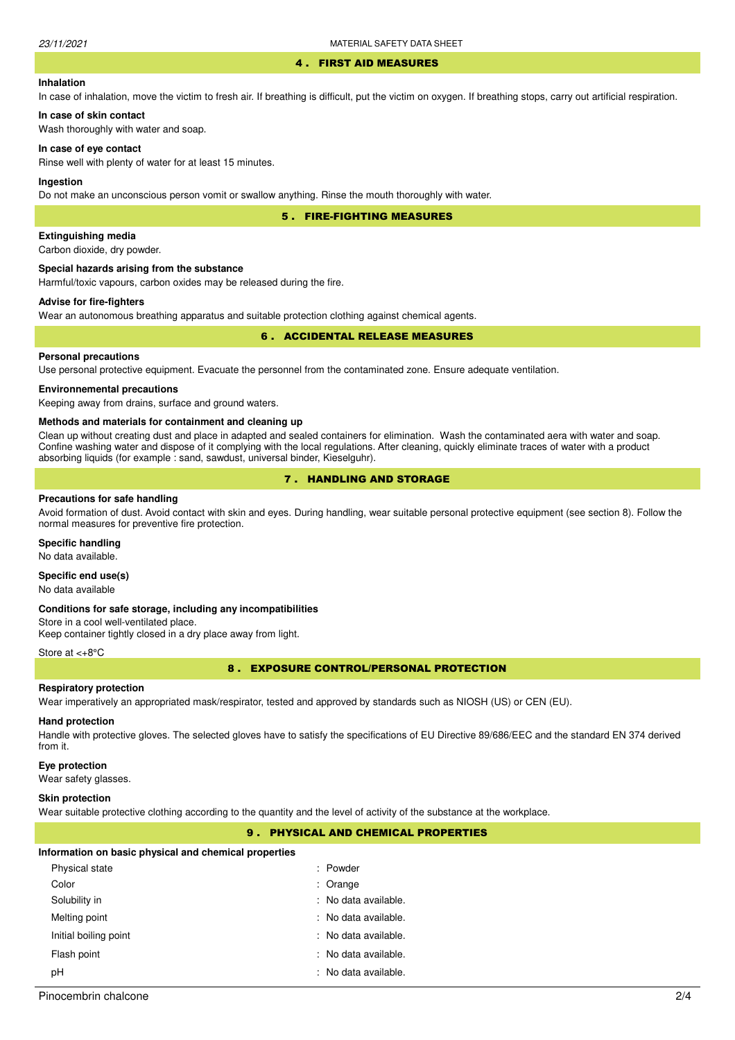#### 4 . FIRST AID MEASURES

# **Inhalation**

In case of inhalation, move the victim to fresh air. If breathing is difficult, put the victim on oxygen. If breathing stops, carry out artificial respiration.

# **In case of skin contact**

Wash thoroughly with water and soap.

# **In case of eye contact**

Rinse well with plenty of water for at least 15 minutes.

## **Ingestion**

Do not make an unconscious person vomit or swallow anything. Rinse the mouth thoroughly with water.

5 . FIRE-FIGHTING MEASURES

# **Extinguishing media**

Carbon dioxide, dry powder.

# **Special hazards arising from the substance**

Harmful/toxic vapours, carbon oxides may be released during the fire.

# **Advise for fire-fighters**

Wear an autonomous breathing apparatus and suitable protection clothing against chemical agents.

# 6 . ACCIDENTAL RELEASE MEASURES

# **Personal precautions**

Use personal protective equipment. Evacuate the personnel from the contaminated zone. Ensure adequate ventilation.

## **Environnemental precautions**

Keeping away from drains, surface and ground waters.

#### **Methods and materials for containment and cleaning up**

Clean up without creating dust and place in adapted and sealed containers for elimination. Wash the contaminated aera with water and soap. Confine washing water and dispose of it complying with the local regulations. After cleaning, quickly eliminate traces of water with a product absorbing liquids (for example : sand, sawdust, universal binder, Kieselguhr).

# 7 . HANDLING AND STORAGE

#### **Precautions for safe handling**

Avoid formation of dust. Avoid contact with skin and eyes. During handling, wear suitable personal protective equipment (see section 8). Follow the normal measures for preventive fire protection.

#### **Specific handling**

No data available.

# **Specific end use(s)**

No data available

#### **Conditions for safe storage, including any incompatibilities**

Store in a cool well-ventilated place. Keep container tightly closed in a dry place away from light.

#### Store at <+8°C

8 . EXPOSURE CONTROL/PERSONAL PROTECTION

#### **Respiratory protection**

Wear imperatively an appropriated mask/respirator, tested and approved by standards such as NIOSH (US) or CEN (EU).

# **Hand protection**

Handle with protective gloves. The selected gloves have to satisfy the specifications of EU Directive 89/686/EEC and the standard EN 374 derived from it.

#### **Eye protection**

Wear safety glasses.

#### **Skin protection**

Wear suitable protective clothing according to the quantity and the level of activity of the substance at the workplace.

# 9 . PHYSICAL AND CHEMICAL PROPERTIES

#### **Information on basic physical and chemical properties**

| Physical state        | : Powder             |
|-----------------------|----------------------|
| Color                 | : Orange             |
| Solubility in         | : No data available. |
| Melting point         | : No data available. |
| Initial boiling point | : No data available. |
| Flash point           | : No data available. |
| рH                    | : No data available. |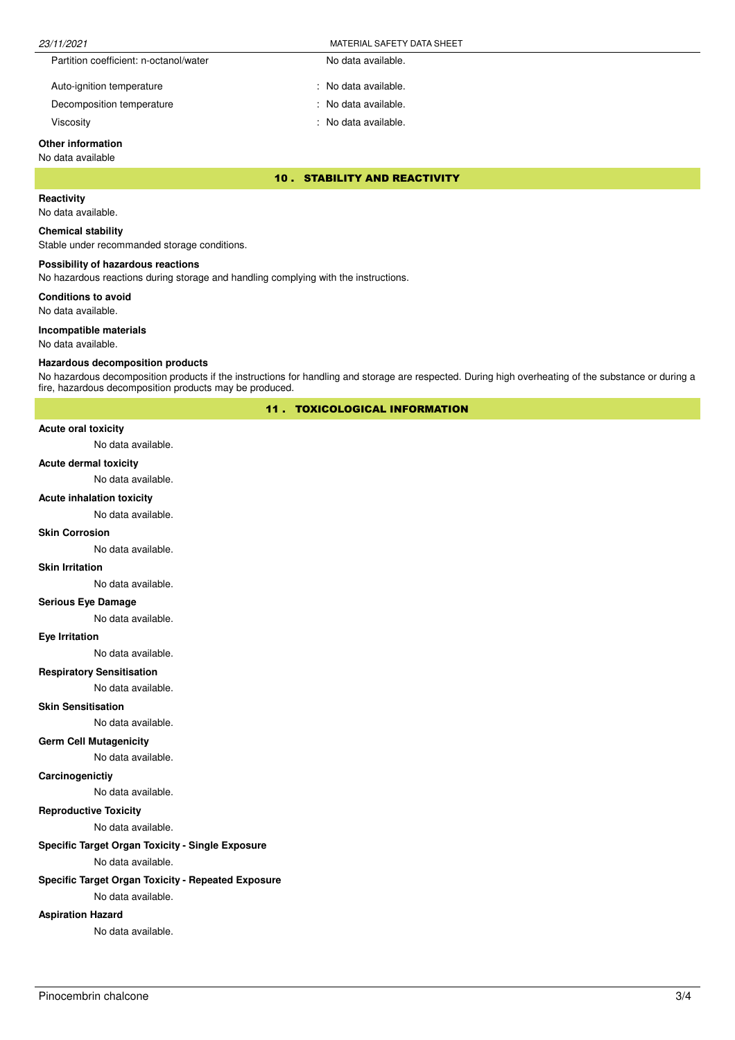| 23/11/2021                             | MATERIAL SAFETY DATA SHEET |
|----------------------------------------|----------------------------|
| Partition coefficient: n-octanol/water | No data available.         |
| Auto-ignition temperature              | : No data available.       |

Decomposition temperature No data available.

Viscosity : No data available.

# **Other information**

# No data available

10 . STABILITY AND REACTIVITY

# **Reactivity**

No data available.

#### **Chemical stability**

Stable under recommanded storage conditions.

## **Possibility of hazardous reactions**

No hazardous reactions during storage and handling complying with the instructions.

**Conditions to avoid**

No data available.

#### **Incompatible materials**

No data available.

### **Hazardous decomposition products**

No hazardous decomposition products if the instructions for handling and storage are respected. During high overheating of the substance or during a fire, hazardous decomposition products may be produced.

11 . TOXICOLOGICAL INFORMATION

# **Acute oral toxicity**

No data available.

#### **Acute dermal toxicity**

No data available.

## **Acute inhalation toxicity**

No data available.

#### **Skin Corrosion**

No data available.

#### **Skin Irritation**

No data available.

# **Serious Eye Damage**

No data available.

## **Eye Irritation**

No data available.

# **Respiratory Sensitisation**

No data available.

# **Skin Sensitisation**

No data available.

## **Germ Cell Mutagenicity**

No data available.

# **Carcinogenictiy**

No data available.

# **Reproductive Toxicity**

No data available.

# **Specific Target Organ Toxicity - Single Exposure**

No data available.

# **Specific Target Organ Toxicity - Repeated Exposure**

No data available.

# **Aspiration Hazard**

No data available.